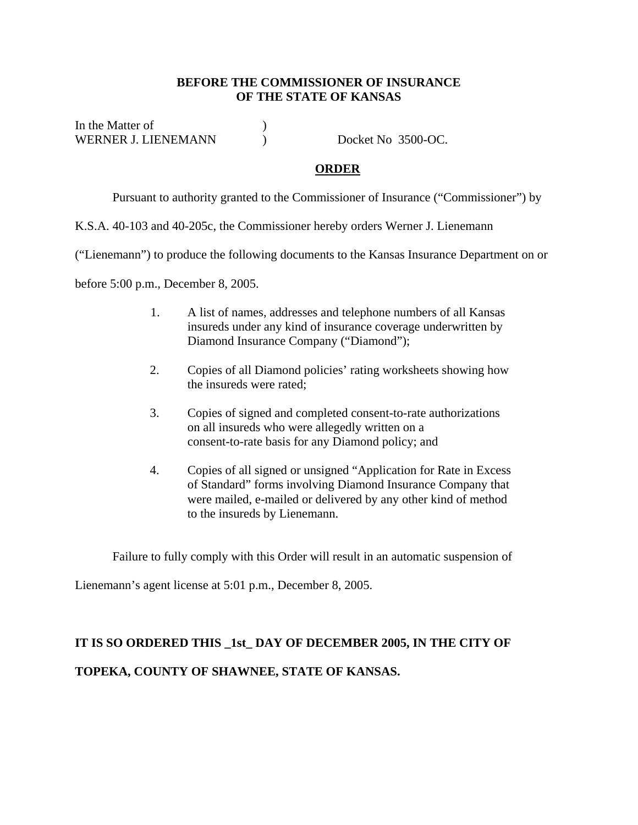## **BEFORE THE COMMISSIONER OF INSURANCE OF THE STATE OF KANSAS**

In the Matter of  $\qquad \qquad$  ) WERNER J. LIENEMANN ) Docket No 3500-OC.

## **ORDER**

Pursuant to authority granted to the Commissioner of Insurance ("Commissioner") by

K.S.A. 40-103 and 40-205c, the Commissioner hereby orders Werner J. Lienemann

("Lienemann") to produce the following documents to the Kansas Insurance Department on or

before 5:00 p.m., December 8, 2005.

- 1. A list of names, addresses and telephone numbers of all Kansas insureds under any kind of insurance coverage underwritten by Diamond Insurance Company ("Diamond");
- 2. Copies of all Diamond policies' rating worksheets showing how the insureds were rated;
- 3. Copies of signed and completed consent-to-rate authorizations on all insureds who were allegedly written on a consent-to-rate basis for any Diamond policy; and
- 4. Copies of all signed or unsigned "Application for Rate in Excess of Standard" forms involving Diamond Insurance Company that were mailed, e-mailed or delivered by any other kind of method to the insureds by Lienemann.

Failure to fully comply with this Order will result in an automatic suspension of

Lienemann's agent license at 5:01 p.m., December 8, 2005.

## **IT IS SO ORDERED THIS \_1st\_ DAY OF DECEMBER 2005, IN THE CITY OF TOPEKA, COUNTY OF SHAWNEE, STATE OF KANSAS.**